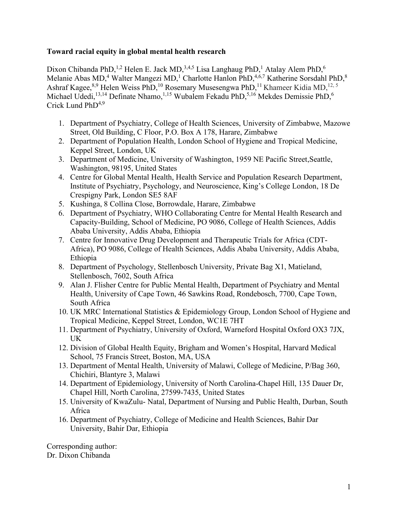## **Toward racial equity in global mental health research**

Dixon Chibanda PhD,<sup>1,2</sup> Helen E. Jack MD,<sup>3,4,5</sup> Lisa Langhaug PhD,<sup>1</sup> Atalay Alem PhD,<sup>6</sup> Melanie Abas MD,<sup>4</sup> Walter Mangezi MD,<sup>1</sup> Charlotte Hanlon PhD,<sup>4,6,7</sup> Katherine Sorsdahl PhD,<sup>8</sup> Ashraf Kagee,  $8,9$  Helen Weiss PhD,  $^{10}$  Rosemary Musesengwa PhD,  $^{11}$  Khameer Kidia MD,  $^{12,5}$ Michael Udedi, <sup>13,14</sup> Definate Nhamo, <sup>1,15</sup> Wubalem Fekadu PhD, <sup>5,16</sup> Mekdes Demissie PhD, <sup>6</sup> Crick Lund  $PhD<sup>4,9</sup>$ 

- 1. Department of Psychiatry, College of Health Sciences, University of Zimbabwe, Mazowe Street, Old Building, C Floor, P.O. Box A 178, Harare, Zimbabwe
- 2. Department of Population Health, London School of Hygiene and Tropical Medicine, Keppel Street, London, UK
- 3. Department of Medicine, University of Washington, 1959 NE Pacific Street,Seattle, Washington, 98195, United States
- 4. Centre for Global Mental Health, Health Service and Population Research Department, Institute of Psychiatry, Psychology, and Neuroscience, King's College London, 18 De Crespigny Park, London SE5 8AF
- 5. Kushinga, 8 Collina Close, Borrowdale, Harare, Zimbabwe
- 6. Department of Psychiatry, WHO Collaborating Centre for Mental Health Research and Capacity-Building, School of Medicine, PO 9086, College of Health Sciences, Addis Ababa University, Addis Ababa, Ethiopia
- 7. Centre for Innovative Drug Development and Therapeutic Trials for Africa (CDT-Africa), PO 9086, College of Health Sciences, Addis Ababa University, Addis Ababa, Ethiopia
- 8. Department of Psychology, Stellenbosch University, Private Bag X1, Matieland, Stellenbosch, 7602, South Africa
- 9. Alan J. Flisher Centre for Public Mental Health, Department of Psychiatry and Mental Health, University of Cape Town, 46 Sawkins Road, Rondebosch, 7700, Cape Town, South Africa
- 10. UK MRC International Statistics & Epidemiology Group, London School of Hygiene and Tropical Medicine, Keppel Street, London, WC1E 7HT
- 11. Department of Psychiatry, University of Oxford, Warneford Hospital Oxford OX3 7JX, UK
- 12. Division of Global Health Equity, Brigham and Women's Hospital, Harvard Medical School, 75 Francis Street, Boston, MA, USA
- 13. Department of Mental Health, University of Malawi, College of Medicine, P/Bag 360, Chichiri, Blantyre 3, Malawi
- 14. Department of Epidemiology, University of North Carolina-Chapel Hill, 135 Dauer Dr, Chapel Hill, North Carolina, 27599-7435, United States
- 15. University of KwaZulu- Natal, Department of Nursing and Public Health, Durban, South Africa
- 16. Department of Psychiatry, College of Medicine and Health Sciences, Bahir Dar University, Bahir Dar, Ethiopia

Corresponding author: Dr. Dixon Chibanda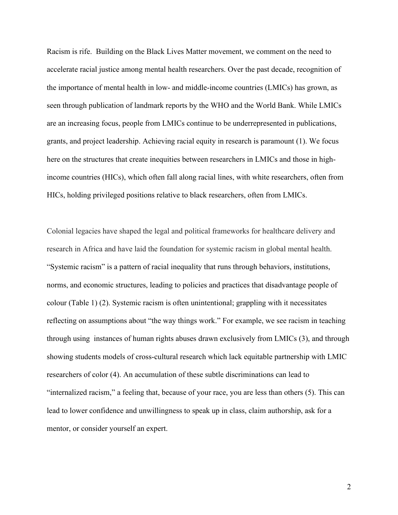Racism is rife. Building on the Black Lives Matter movement, we comment on the need to accelerate racial justice among mental health researchers. Over the past decade, recognition of the importance of mental health in low- and middle-income countries (LMICs) has grown, as seen through publication of landmark reports by the WHO and the World Bank. While LMICs are an increasing focus, people from LMICs continue to be underrepresented in publications, grants, and project leadership. Achieving racial equity in research is paramount (1). We focus here on the structures that create inequities between researchers in LMICs and those in highincome countries (HICs), which often fall along racial lines, with white researchers, often from HICs, holding privileged positions relative to black researchers, often from LMICs.

Colonial legacies have shaped the legal and political frameworks for healthcare delivery and research in Africa and have laid the foundation for systemic racism in global mental health. "Systemic racism" is a pattern of racial inequality that runs through behaviors, institutions, norms, and economic structures, leading to policies and practices that disadvantage people of colour (Table 1) (2). Systemic racism is often unintentional; grappling with it necessitates reflecting on assumptions about "the way things work." For example, we see racism in teaching through using instances of human rights abuses drawn exclusively from LMICs (3), and through showing students models of cross-cultural research which lack equitable partnership with LMIC researchers of color (4). An accumulation of these subtle discriminations can lead to "internalized racism," a feeling that, because of your race, you are less than others (5). This can lead to lower confidence and unwillingness to speak up in class, claim authorship, ask for a mentor, or consider yourself an expert.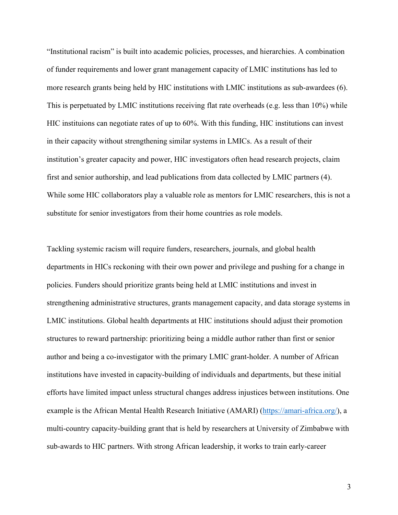"Institutional racism" is built into academic policies, processes, and hierarchies. A combination of funder requirements and lower grant management capacity of LMIC institutions has led to more research grants being held by HIC institutions with LMIC institutions as sub-awardees (6). This is perpetuated by LMIC institutions receiving flat rate overheads (e.g. less than 10%) while HIC instituions can negotiate rates of up to 60%. With this funding, HIC institutions can invest in their capacity without strengthening similar systems in LMICs. As a result of their institution's greater capacity and power, HIC investigators often head research projects, claim first and senior authorship, and lead publications from data collected by LMIC partners (4). While some HIC collaborators play a valuable role as mentors for LMIC researchers, this is not a substitute for senior investigators from their home countries as role models.

Tackling systemic racism will require funders, researchers, journals, and global health departments in HICs reckoning with their own power and privilege and pushing for a change in policies. Funders should prioritize grants being held at LMIC institutions and invest in strengthening administrative structures, grants management capacity, and data storage systems in LMIC institutions. Global health departments at HIC institutions should adjust their promotion structures to reward partnership: prioritizing being a middle author rather than first or senior author and being a co-investigator with the primary LMIC grant-holder. A number of African institutions have invested in capacity-building of individuals and departments, but these initial efforts have limited impact unless structural changes address injustices between institutions. One example is the African Mental Health Research Initiative (AMARI) [\(https://amari-africa.org/\)](https://amari-africa.org/), a multi-country capacity-building grant that is held by researchers at University of Zimbabwe with sub-awards to HIC partners. With strong African leadership, it works to train early-career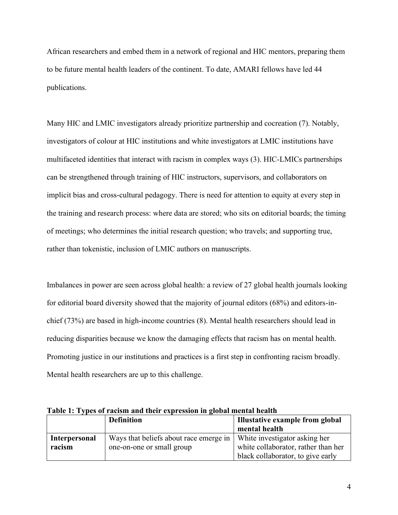African researchers and embed them in a network of regional and HIC mentors, preparing them to be future mental health leaders of the continent. To date, AMARI fellows have led 44 publications.

Many HIC and LMIC investigators already prioritize partnership and cocreation (7). Notably, investigators of colour at HIC institutions and white investigators at LMIC institutions have multifaceted identities that interact with racism in complex ways (3). HIC-LMICs partnerships can be strengthened through training of HIC instructors, supervisors, and collaborators on implicit bias and cross-cultural pedagogy. There is need for attention to equity at every step in the training and research process: where data are stored; who sits on editorial boards; the timing of meetings; who determines the initial research question; who travels; and supporting true, rather than tokenistic, inclusion of LMIC authors on manuscripts.

Imbalances in power are seen across global health: a review of 27 global health journals looking for editorial board diversity showed that the majority of journal editors (68%) and editors-inchief (73%) are based in high-income countries (8). Mental health researchers should lead in reducing disparities because we know the damaging effects that racism has on mental health. Promoting justice in our institutions and practices is a first step in confronting racism broadly. Mental health researchers are up to this challenge.

|                      | <b>Definition</b>                      | Illustative example from global     |
|----------------------|----------------------------------------|-------------------------------------|
|                      |                                        | mental health                       |
| <b>Interpersonal</b> | Ways that beliefs about race emerge in | White investigator asking her       |
| racism               | one-on-one or small group              | white collaborator, rather than her |
|                      |                                        | black collaborator, to give early   |

**Table 1: Types of racism and their expression in global mental health**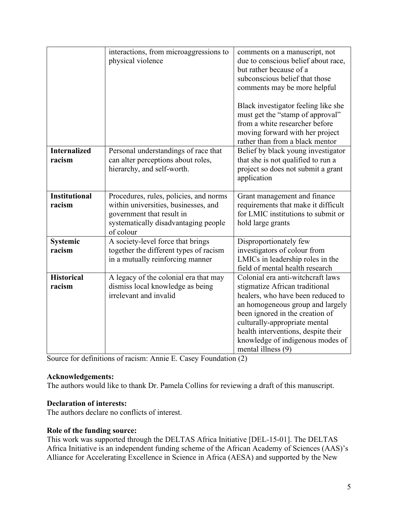|                                | interactions, from microaggressions to<br>physical violence                                                                                                      | comments on a manuscript, not<br>due to conscious belief about race,<br>but rather because of a<br>subconscious belief that those<br>comments may be more helpful<br>Black investigator feeling like she<br>must get the "stamp of approval"<br>from a white researcher before<br>moving forward with her project<br>rather than from a black mentor |
|--------------------------------|------------------------------------------------------------------------------------------------------------------------------------------------------------------|------------------------------------------------------------------------------------------------------------------------------------------------------------------------------------------------------------------------------------------------------------------------------------------------------------------------------------------------------|
| <b>Internalized</b><br>racism  | Personal understandings of race that<br>can alter perceptions about roles,<br>hierarchy, and self-worth.                                                         | Belief by black young investigator<br>that she is not qualified to run a<br>project so does not submit a grant<br>application                                                                                                                                                                                                                        |
| <b>Institutional</b><br>racism | Procedures, rules, policies, and norms<br>within universities, businesses, and<br>government that result in<br>systematically disadvantaging people<br>of colour | Grant management and finance<br>requirements that make it difficult<br>for LMIC institutions to submit or<br>hold large grants                                                                                                                                                                                                                       |
| Systemic<br>racism             | A society-level force that brings<br>together the different types of racism<br>in a mutually reinforcing manner                                                  | Disproportionately few<br>investigators of colour from<br>LMICs in leadership roles in the<br>field of mental health research                                                                                                                                                                                                                        |
| <b>Historical</b><br>racism    | A legacy of the colonial era that may<br>dismiss local knowledge as being<br>irrelevant and invalid                                                              | Colonial era anti-witchcraft laws<br>stigmatize African traditional<br>healers, who have been reduced to<br>an homogeneous group and largely<br>been ignored in the creation of<br>culturally-appropriate mental<br>health interventions, despite their<br>knowledge of indigenous modes of<br>mental illness (9)                                    |

Source for definitions of racism: Annie E. Casey Foundation (2)

## **Acknowledgements:**

The authors would like to thank Dr. Pamela Collins for reviewing a draft of this manuscript.

#### **Declaration of interests:**

The authors declare no conflicts of interest.

#### **Role of the funding source:**

This work was supported through the DELTAS Africa Initiative [DEL-15-01]. The DELTAS Africa Initiative is an independent funding scheme of the African Academy of Sciences (AAS)'s Alliance for Accelerating Excellence in Science in Africa (AESA) and supported by the New